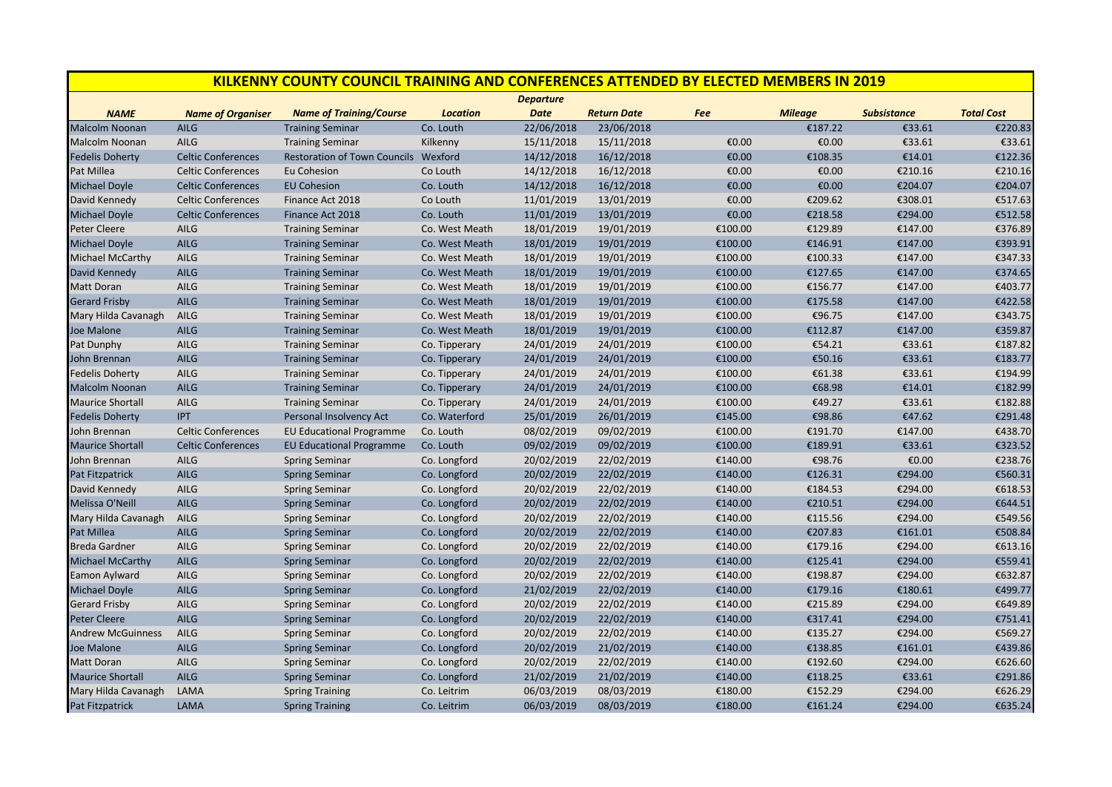| <b>KILKENNY COUNTY COUNCIL TRAINING AND CONFERENCES ATTENDED BY ELECTED MEMBERS IN 2019</b> |                           |                                      |                 |                  |                    |         |                |                    |                   |
|---------------------------------------------------------------------------------------------|---------------------------|--------------------------------------|-----------------|------------------|--------------------|---------|----------------|--------------------|-------------------|
|                                                                                             |                           |                                      |                 | <b>Departure</b> |                    |         |                |                    |                   |
| <b>NAME</b>                                                                                 | <b>Name of Organiser</b>  | <b>Name of Training/Course</b>       | <b>Location</b> | <b>Date</b>      | <b>Return Date</b> | Fee     | <b>Mileage</b> | <b>Subsistance</b> | <b>Total Cost</b> |
| Malcolm Noonan                                                                              | <b>AILG</b>               | <b>Training Seminar</b>              | Co. Louth       | 22/06/2018       | 23/06/2018         |         | €187.22        | €33.61             | €220.83           |
| Malcolm Noonan                                                                              | AILG                      | <b>Training Seminar</b>              | Kilkenny        | 15/11/2018       | 15/11/2018         | €0.00   | €0.00          | €33.61             | €33.61            |
| <b>Fedelis Doherty</b>                                                                      | <b>Celtic Conferences</b> | Restoration of Town Councils Wexford |                 | 14/12/2018       | 16/12/2018         | €0.00   | €108.35        | €14.01             | €122.36           |
| Pat Millea                                                                                  | <b>Celtic Conferences</b> | Eu Cohesion                          | Co Louth        | 14/12/2018       | 16/12/2018         | €0.00   | €0.00          | €210.16            | €210.16           |
| <b>Michael Doyle</b>                                                                        | <b>Celtic Conferences</b> | <b>EU Cohesion</b>                   | Co. Louth       | 14/12/2018       | 16/12/2018         | €0.00   | €0.00          | €204.07            | €204.07           |
| David Kennedy                                                                               | <b>Celtic Conferences</b> | Finance Act 2018                     | Co Louth        | 11/01/2019       | 13/01/2019         | €0.00   | €209.62        | €308.01            | €517.63           |
| Michael Doyle                                                                               | <b>Celtic Conferences</b> | Finance Act 2018                     | Co. Louth       | 11/01/2019       | 13/01/2019         | €0.00   | €218.58        | €294.00            | €512.58           |
| <b>Peter Cleere</b>                                                                         | <b>AILG</b>               | <b>Training Seminar</b>              | Co. West Meath  | 18/01/2019       | 19/01/2019         | €100.00 | €129.89        | €147.00            | €376.89           |
| <b>Michael Doyle</b>                                                                        | <b>AILG</b>               | <b>Training Seminar</b>              | Co. West Meath  | 18/01/2019       | 19/01/2019         | €100.00 | €146.91        | €147.00            | €393.91           |
| Michael McCarthy                                                                            | AILG                      | <b>Training Seminar</b>              | Co. West Meath  | 18/01/2019       | 19/01/2019         | €100.00 | €100.33        | €147.00            | €347.33           |
| David Kennedy                                                                               | <b>AILG</b>               | <b>Training Seminar</b>              | Co. West Meath  | 18/01/2019       | 19/01/2019         | €100.00 | €127.65        | €147.00            | €374.65           |
| Matt Doran                                                                                  | <b>AILG</b>               | <b>Training Seminar</b>              | Co. West Meath  | 18/01/2019       | 19/01/2019         | €100.00 | €156.77        | €147.00            | €403.77           |
| <b>Gerard Frisby</b>                                                                        | <b>AILG</b>               | <b>Training Seminar</b>              | Co. West Meath  | 18/01/2019       | 19/01/2019         | €100.00 | €175.58        | €147.00            | €422.58           |
| Mary Hilda Cavanagh                                                                         | AILG                      | <b>Training Seminar</b>              | Co. West Meath  | 18/01/2019       | 19/01/2019         | €100.00 | €96.75         | €147.00            | €343.75           |
| Joe Malone                                                                                  | <b>AILG</b>               | <b>Training Seminar</b>              | Co. West Meath  | 18/01/2019       | 19/01/2019         | €100.00 | €112.87        | €147.00            | €359.87           |
| Pat Dunphy                                                                                  | AILG                      | <b>Training Seminar</b>              | Co. Tipperary   | 24/01/2019       | 24/01/2019         | €100.00 | €54.21         | €33.61             | €187.82           |
| John Brennan                                                                                | <b>AILG</b>               | <b>Training Seminar</b>              | Co. Tipperary   | 24/01/2019       | 24/01/2019         | €100.00 | €50.16         | €33.61             | €183.77           |
| <b>Fedelis Doherty</b>                                                                      | AILG                      | <b>Training Seminar</b>              | Co. Tipperary   | 24/01/2019       | 24/01/2019         | €100.00 | €61.38         | €33.61             | €194.99           |
| <b>Malcolm Noonan</b>                                                                       | <b>AILG</b>               | <b>Training Seminar</b>              | Co. Tipperary   | 24/01/2019       | 24/01/2019         | €100.00 | €68.98         | €14.01             | €182.99           |
| <b>Maurice Shortall</b>                                                                     | <b>AILG</b>               | <b>Training Seminar</b>              | Co. Tipperary   | 24/01/2019       | 24/01/2019         | €100.00 | €49.27         | €33.61             | €182.88           |
| <b>Fedelis Doherty</b>                                                                      | <b>IPT</b>                | Personal Insolvency Act              | Co. Waterford   | 25/01/2019       | 26/01/2019         | €145.00 | €98.86         | €47.62             | €291.48           |
| John Brennan                                                                                | <b>Celtic Conferences</b> | <b>EU Educational Programme</b>      | Co. Louth       | 08/02/2019       | 09/02/2019         | €100.00 | €191.70        | €147.00            | €438.70           |
| <b>Maurice Shortall</b>                                                                     | <b>Celtic Conferences</b> | <b>EU Educational Programme</b>      | Co. Louth       | 09/02/2019       | 09/02/2019         | €100.00 | €189.91        | €33.61             | €323.52           |
| John Brennan                                                                                | <b>AILG</b>               | <b>Spring Seminar</b>                | Co. Longford    | 20/02/2019       | 22/02/2019         | €140.00 | €98.76         | €0.00              | €238.76           |
| Pat Fitzpatrick                                                                             | <b>AILG</b>               | <b>Spring Seminar</b>                | Co. Longford    | 20/02/2019       | 22/02/2019         | €140.00 | €126.31        | €294.00            | €560.31           |
| David Kennedy                                                                               | AILG                      | <b>Spring Seminar</b>                | Co. Longford    | 20/02/2019       | 22/02/2019         | €140.00 | €184.53        | €294.00            | €618.53           |
| Melissa O'Neill                                                                             | <b>AILG</b>               | <b>Spring Seminar</b>                | Co. Longford    | 20/02/2019       | 22/02/2019         | €140.00 | €210.51        | €294.00            | €644.51           |
| Mary Hilda Cavanagh                                                                         | AILG                      | <b>Spring Seminar</b>                | Co. Longford    | 20/02/2019       | 22/02/2019         | €140.00 | €115.56        | €294.00            | €549.56           |
| Pat Millea                                                                                  | <b>AILG</b>               | <b>Spring Seminar</b>                | Co. Longford    | 20/02/2019       | 22/02/2019         | €140.00 | €207.83        | €161.01            | €508.84           |
| <b>Breda Gardner</b>                                                                        | AILG                      | <b>Spring Seminar</b>                | Co. Longford    | 20/02/2019       | 22/02/2019         | €140.00 | €179.16        | €294.00            | €613.16           |
| <b>Michael McCarthy</b>                                                                     | <b>AILG</b>               | <b>Spring Seminar</b>                | Co. Longford    | 20/02/2019       | 22/02/2019         | €140.00 | €125.41        | €294.00            | €559.41           |
| Eamon Aylward                                                                               | AILG                      | <b>Spring Seminar</b>                | Co. Longford    | 20/02/2019       | 22/02/2019         | €140.00 | €198.87        | €294.00            | €632.87           |
| <b>Michael Doyle</b>                                                                        | <b>AILG</b>               | <b>Spring Seminar</b>                | Co. Longford    | 21/02/2019       | 22/02/2019         | €140.00 | €179.16        | €180.61            | €499.77           |
| <b>Gerard Frisby</b>                                                                        | <b>AILG</b>               | <b>Spring Seminar</b>                | Co. Longford    | 20/02/2019       | 22/02/2019         | €140.00 | €215.89        | €294.00            | €649.89           |
| <b>Peter Cleere</b>                                                                         | <b>AILG</b>               | <b>Spring Seminar</b>                | Co. Longford    | 20/02/2019       | 22/02/2019         | €140.00 | €317.41        | €294.00            | €751.41           |
| <b>Andrew McGuinness</b>                                                                    | <b>AILG</b>               | <b>Spring Seminar</b>                | Co. Longford    | 20/02/2019       | 22/02/2019         | €140.00 | €135.27        | €294.00            | €569.27           |
| Joe Malone                                                                                  | <b>AILG</b>               | <b>Spring Seminar</b>                | Co. Longford    | 20/02/2019       | 21/02/2019         | €140.00 | €138.85        | €161.01            | €439.86           |
| Matt Doran                                                                                  | AILG                      | <b>Spring Seminar</b>                | Co. Longford    | 20/02/2019       | 22/02/2019         | €140.00 | €192.60        | €294.00            | €626.60           |
| <b>Maurice Shortall</b>                                                                     | <b>AILG</b>               | <b>Spring Seminar</b>                | Co. Longford    | 21/02/2019       | 21/02/2019         | €140.00 | €118.25        | €33.61             | €291.86           |
| Mary Hilda Cavanagh                                                                         | LAMA                      | <b>Spring Training</b>               | Co. Leitrim     | 06/03/2019       | 08/03/2019         | €180.00 | €152.29        | €294.00            | €626.29           |
| <b>Pat Fitzpatrick</b>                                                                      | LAMA                      | <b>Spring Training</b>               | Co. Leitrim     | 06/03/2019       | 08/03/2019         | €180.00 | €161.24        | €294.00            | €635.24           |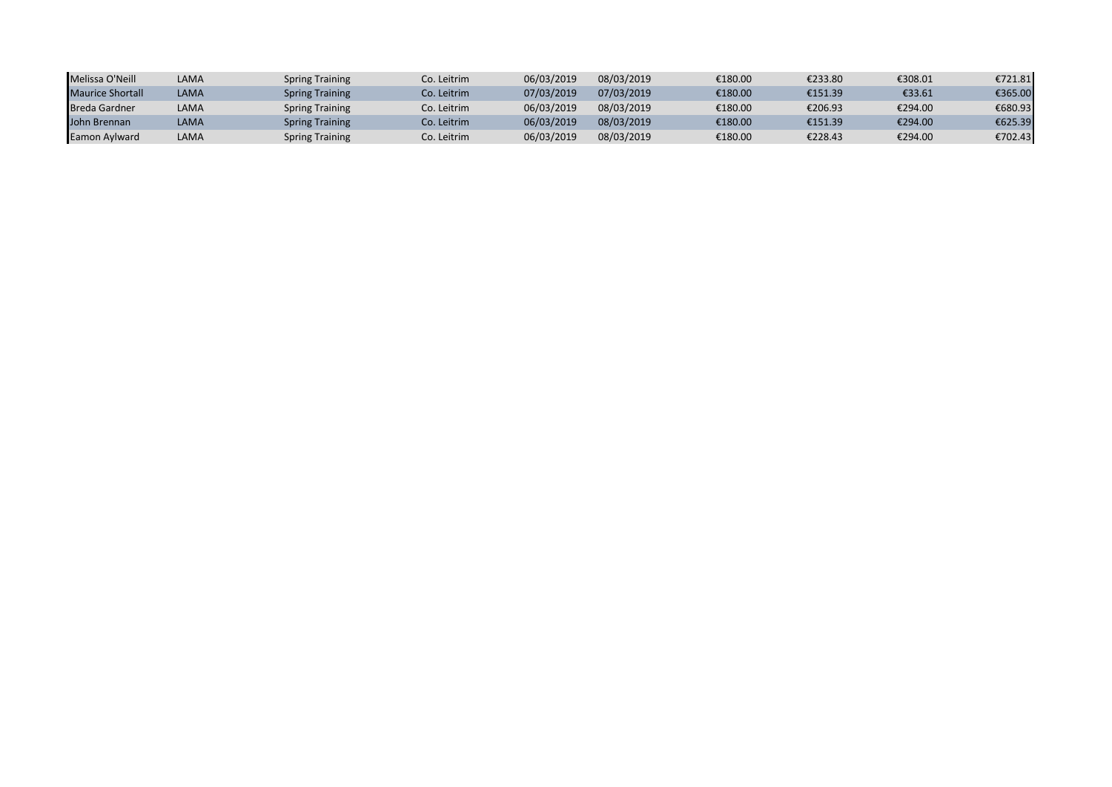| Melissa O'Neill         | LAMA | <b>Spring Training</b> | Co. Leitrim | 06/03/2019 | 08/03/2019 | €180.00 | €233.80 | €308.01 | €721.81 |
|-------------------------|------|------------------------|-------------|------------|------------|---------|---------|---------|---------|
| <b>Maurice Shortall</b> | LAMA | <b>Spring Training</b> | Co. Leitrim | 07/03/2019 | 07/03/2019 | €180.00 | €151.39 | €33.61  | €365.00 |
| <b>Breda Gardner</b>    | LAMA | <b>Spring Training</b> | Co. Leitrim | 06/03/2019 | 08/03/2019 | €180.00 | €206.93 | €294.00 | €680.93 |
| John Brennan            | LAMA | <b>Spring Training</b> | Co. Leitrim | 06/03/2019 | 08/03/2019 | €180.00 | €151.39 | €294.00 | €625.39 |
| Eamon Aylward           | LAMA | <b>Spring Training</b> | Co. Leitrim | 06/03/2019 | 08/03/2019 | €180.00 | €228.43 | €294.00 | €702.43 |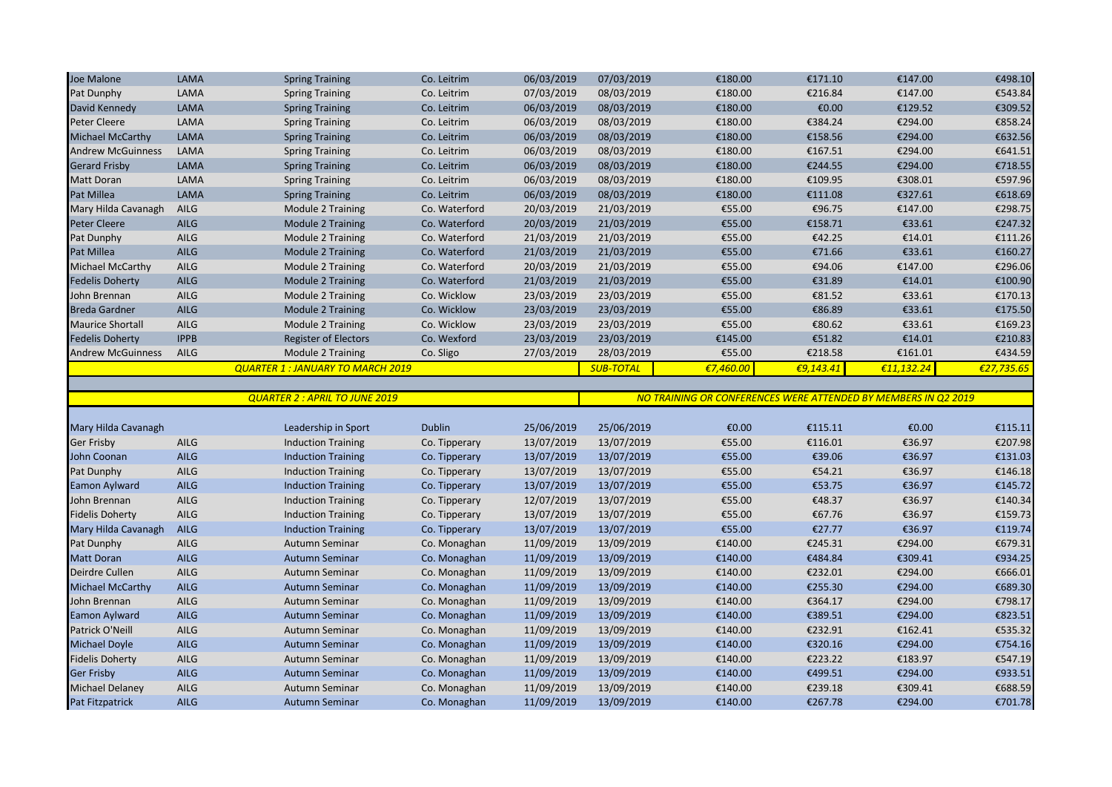| Joe Malone               | LAMA        | <b>Spring Training</b>                  | Co. Leitrim   | 06/03/2019 | 07/03/2019       | €180.00                                                        | €171.10      | €147.00    | €498.10    |
|--------------------------|-------------|-----------------------------------------|---------------|------------|------------------|----------------------------------------------------------------|--------------|------------|------------|
| Pat Dunphy               | LAMA        | <b>Spring Training</b>                  | Co. Leitrim   | 07/03/2019 | 08/03/2019       | €180.00                                                        | €216.84      | €147.00    | €543.84    |
| David Kennedy            | LAMA        | <b>Spring Training</b>                  | Co. Leitrim   | 06/03/2019 | 08/03/2019       | €180.00                                                        | €0.00        | €129.52    | €309.52    |
| <b>Peter Cleere</b>      | LAMA        | <b>Spring Training</b>                  | Co. Leitrim   | 06/03/2019 | 08/03/2019       | €180.00                                                        | €384.24      | €294.00    | €858.24    |
| <b>Michael McCarthy</b>  | LAMA        | <b>Spring Training</b>                  | Co. Leitrim   | 06/03/2019 | 08/03/2019       | €180.00                                                        | €158.56      | €294.00    | €632.56    |
| <b>Andrew McGuinness</b> | LAMA        | <b>Spring Training</b>                  | Co. Leitrim   | 06/03/2019 | 08/03/2019       | €180.00                                                        | €167.51      | €294.00    | €641.51    |
| <b>Gerard Frisby</b>     | <b>LAMA</b> | <b>Spring Training</b>                  | Co. Leitrim   | 06/03/2019 | 08/03/2019       | €180.00                                                        | €244.55      | €294.00    | €718.55    |
| <b>Matt Doran</b>        | LAMA        | <b>Spring Training</b>                  | Co. Leitrim   | 06/03/2019 | 08/03/2019       | €180.00                                                        | €109.95      | €308.01    | €597.96    |
| Pat Millea               | LAMA        | <b>Spring Training</b>                  | Co. Leitrim   | 06/03/2019 | 08/03/2019       | €180.00                                                        | €111.08      | €327.61    | €618.69    |
| Mary Hilda Cavanagh      | AILG        | Module 2 Training                       | Co. Waterford | 20/03/2019 | 21/03/2019       | €55.00                                                         | €96.75       | €147.00    | €298.75    |
| <b>Peter Cleere</b>      | <b>AILG</b> | Module 2 Training                       | Co. Waterford | 20/03/2019 | 21/03/2019       | €55.00                                                         | €158.71      | €33.61     | €247.32    |
| Pat Dunphy               | AILG        | Module 2 Training                       | Co. Waterford | 21/03/2019 | 21/03/2019       | €55.00                                                         | €42.25       | €14.01     | €111.26    |
| Pat Millea               | <b>AILG</b> | <b>Module 2 Training</b>                | Co. Waterford | 21/03/2019 | 21/03/2019       | €55.00                                                         | €71.66       | €33.61     | €160.27    |
| Michael McCarthy         | AILG        | Module 2 Training                       | Co. Waterford | 20/03/2019 | 21/03/2019       | €55.00                                                         | €94.06       | €147.00    | €296.06    |
| <b>Fedelis Doherty</b>   | AILG        | <b>Module 2 Training</b>                | Co. Waterford | 21/03/2019 | 21/03/2019       | €55.00                                                         | €31.89       | €14.01     | €100.90    |
| John Brennan             | <b>AILG</b> | Module 2 Training                       | Co. Wicklow   | 23/03/2019 | 23/03/2019       | €55.00                                                         | €81.52       | €33.61     | €170.13    |
| <b>Breda Gardner</b>     | <b>AILG</b> | <b>Module 2 Training</b>                | Co. Wicklow   | 23/03/2019 | 23/03/2019       | €55.00                                                         | €86.89       | €33.61     | €175.50    |
| <b>Maurice Shortall</b>  | <b>AILG</b> | Module 2 Training                       | Co. Wicklow   | 23/03/2019 | 23/03/2019       | €55.00                                                         | €80.62       | €33.61     | €169.23    |
| <b>Fedelis Doherty</b>   | <b>IPPB</b> | <b>Register of Electors</b>             | Co. Wexford   | 23/03/2019 | 23/03/2019       | €145.00                                                        | €51.82       | €14.01     | €210.83    |
| <b>Andrew McGuinness</b> | AILG        | Module 2 Training                       | Co. Sligo     | 27/03/2019 | 28/03/2019       | €55.00                                                         | €218.58      | €161.01    | €434.59    |
|                          |             | <b>QUARTER 1: JANUARY TO MARCH 2019</b> |               |            | <b>SUB-TOTAL</b> | €7,460.00                                                      | € $9,143.41$ | €11,132.24 | €27,735.65 |
|                          |             |                                         |               |            |                  |                                                                |              |            |            |
|                          |             |                                         |               |            |                  |                                                                |              |            |            |
|                          |             | <b>QUARTER 2: APRIL TO JUNE 2019</b>    |               |            |                  | NO TRAINING OR CONFERENCES WERE ATTENDED BY MEMBERS IN Q2 2019 |              |            |            |
|                          |             |                                         |               |            |                  |                                                                |              |            |            |
| Mary Hilda Cavanagh      |             | Leadership in Sport                     | <b>Dublin</b> | 25/06/2019 | 25/06/2019       | €0.00                                                          | €115.11      | €0.00      | €115.11    |
| <b>Ger Frisby</b>        | <b>AILG</b> | <b>Induction Training</b>               | Co. Tipperary | 13/07/2019 | 13/07/2019       | €55.00                                                         | €116.01      | €36.97     | €207.98    |
| John Coonan              | <b>AILG</b> | <b>Induction Training</b>               | Co. Tipperary | 13/07/2019 | 13/07/2019       | €55.00                                                         | €39.06       | €36.97     | €131.03    |
| Pat Dunphy               | AILG        | <b>Induction Training</b>               | Co. Tipperary | 13/07/2019 | 13/07/2019       | €55.00                                                         | €54.21       | €36.97     | €146.18    |
| Eamon Aylward            | <b>AILG</b> | <b>Induction Training</b>               | Co. Tipperary | 13/07/2019 | 13/07/2019       | €55.00                                                         | €53.75       | €36.97     | €145.72    |
| John Brennan             | AILG        | <b>Induction Training</b>               | Co. Tipperary | 12/07/2019 | 13/07/2019       | €55.00                                                         | €48.37       | €36.97     | €140.34    |
| <b>Fidelis Doherty</b>   | <b>AILG</b> | <b>Induction Training</b>               | Co. Tipperary | 13/07/2019 | 13/07/2019       | €55.00                                                         | €67.76       | €36.97     | €159.73    |
| Mary Hilda Cavanagh      | <b>AILG</b> | <b>Induction Training</b>               | Co. Tipperary | 13/07/2019 | 13/07/2019       | €55.00                                                         | €27.77       | €36.97     | €119.74    |
| Pat Dunphy               | <b>AILG</b> | Autumn Seminar                          | Co. Monaghan  | 11/09/2019 | 13/09/2019       | €140.00                                                        | €245.31      | €294.00    | €679.31    |
| <b>Matt Doran</b>        | <b>AILG</b> | <b>Autumn Seminar</b>                   | Co. Monaghan  | 11/09/2019 | 13/09/2019       | €140.00                                                        | €484.84      | €309.41    | €934.25    |
| Deirdre Cullen           | AILG        | Autumn Seminar                          | Co. Monaghan  | 11/09/2019 | 13/09/2019       | €140.00                                                        | €232.01      | €294.00    | €666.01    |
| <b>Michael McCarthy</b>  | AILG        | <b>Autumn Seminar</b>                   | Co. Monaghan  | 11/09/2019 | 13/09/2019       | €140.00                                                        | €255.30      | €294.00    | €689.30    |
| John Brennan             | <b>AILG</b> | Autumn Seminar                          | Co. Monaghan  | 11/09/2019 | 13/09/2019       | €140.00                                                        | €364.17      | €294.00    | €798.17    |
| Eamon Aylward            | <b>AILG</b> | <b>Autumn Seminar</b>                   | Co. Monaghan  | 11/09/2019 | 13/09/2019       | €140.00                                                        | €389.51      | €294.00    | €823.51    |
| Patrick O'Neill          | AILG        | Autumn Seminar                          | Co. Monaghan  | 11/09/2019 | 13/09/2019       | €140.00                                                        | €232.91      | €162.41    | €535.32    |
| <b>Michael Doyle</b>     | <b>AILG</b> | <b>Autumn Seminar</b>                   | Co. Monaghan  | 11/09/2019 | 13/09/2019       | €140.00                                                        | €320.16      | €294.00    | €754.16    |
| <b>Fidelis Doherty</b>   | AILG        | Autumn Seminar                          | Co. Monaghan  | 11/09/2019 | 13/09/2019       | €140.00                                                        | €223.22      | €183.97    | €547.19    |
| <b>Ger Frisby</b>        | <b>AILG</b> | <b>Autumn Seminar</b>                   | Co. Monaghan  | 11/09/2019 | 13/09/2019       | €140.00                                                        | €499.51      | €294.00    | €933.51    |
| <b>Michael Delaney</b>   | <b>AILG</b> | Autumn Seminar                          | Co. Monaghan  | 11/09/2019 | 13/09/2019       | €140.00                                                        | €239.18      | €309.41    | €688.59    |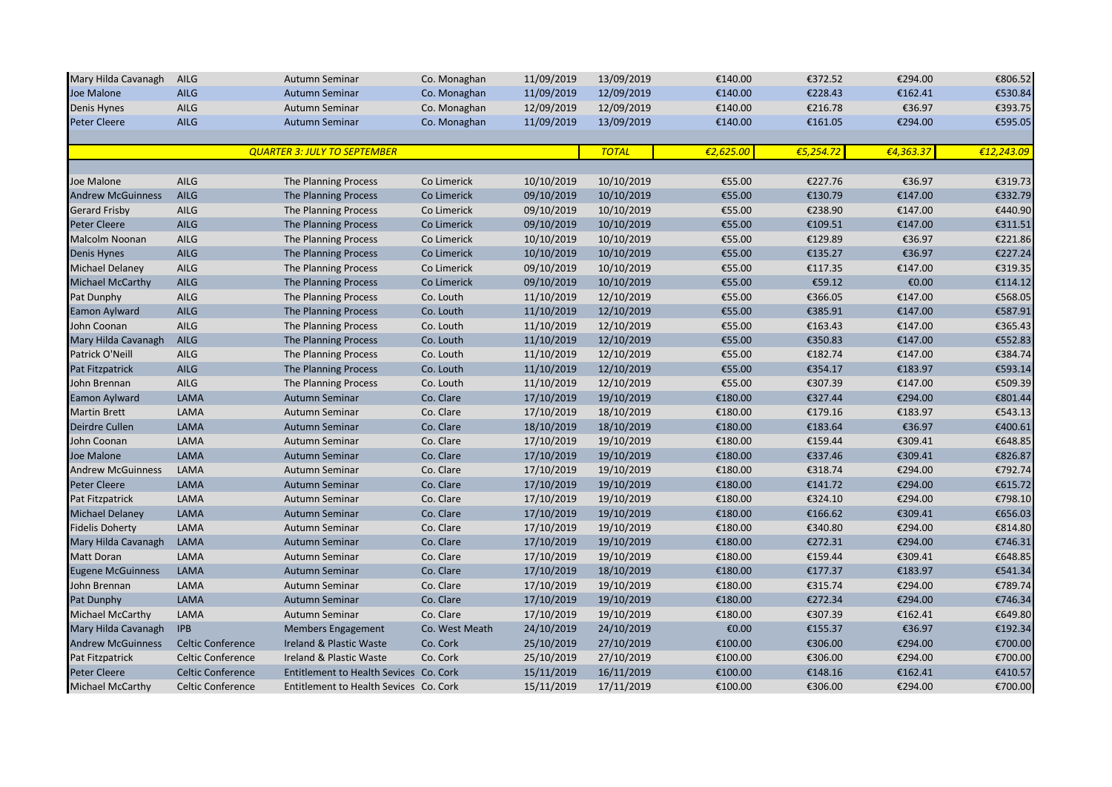| Mary Hilda Cavanagh      | <b>AILG</b>              | Autumn Seminar                         | Co. Monaghan   | 11/09/2019 | 13/09/2019   | €140.00   | €372.52   | €294.00   | €806.52    |
|--------------------------|--------------------------|----------------------------------------|----------------|------------|--------------|-----------|-----------|-----------|------------|
| Joe Malone               | <b>AILG</b>              | Autumn Seminar                         | Co. Monaghan   | 11/09/2019 | 12/09/2019   | €140.00   | €228.43   | €162.41   | €530.84    |
| Denis Hynes              | AILG                     | Autumn Seminar                         | Co. Monaghan   | 12/09/2019 | 12/09/2019   | €140.00   | €216.78   | €36.97    | €393.75    |
| <b>Peter Cleere</b>      | <b>AILG</b>              | Autumn Seminar                         | Co. Monaghan   | 11/09/2019 | 13/09/2019   | €140.00   | €161.05   | €294.00   | €595.05    |
|                          |                          |                                        |                |            |              |           |           |           |            |
|                          |                          | <b>QUARTER 3: JULY TO SEPTEMBER</b>    |                |            | <b>TOTAL</b> | €2,625.00 | €5,254.72 | €4,363.37 | €12,243.09 |
|                          |                          |                                        |                |            |              |           |           |           |            |
| Joe Malone               | <b>AILG</b>              | The Planning Process                   | Co Limerick    | 10/10/2019 | 10/10/2019   | €55.00    | €227.76   | €36.97    | €319.73    |
| <b>Andrew McGuinness</b> | AILG                     | The Planning Process                   | Co Limerick    | 09/10/2019 | 10/10/2019   | €55.00    | €130.79   | €147.00   | €332.79    |
| <b>Gerard Frisby</b>     | AILG                     | The Planning Process                   | Co Limerick    | 09/10/2019 | 10/10/2019   | €55.00    | €238.90   | €147.00   | €440.90    |
| <b>Peter Cleere</b>      | <b>AILG</b>              | The Planning Process                   | Co Limerick    | 09/10/2019 | 10/10/2019   | €55.00    | €109.51   | €147.00   | €311.51    |
| <b>Malcolm Noonan</b>    | AILG                     | The Planning Process                   | Co Limerick    | 10/10/2019 | 10/10/2019   | €55.00    | €129.89   | €36.97    | €221.86    |
| <b>Denis Hynes</b>       | AILG                     | The Planning Process                   | Co Limerick    | 10/10/2019 | 10/10/2019   | €55.00    | €135.27   | €36.97    | €227.24    |
| <b>Michael Delaney</b>   | AILG                     | The Planning Process                   | Co Limerick    | 09/10/2019 | 10/10/2019   | €55.00    | €117.35   | €147.00   | €319.35    |
| <b>Michael McCarthy</b>  | AILG                     | The Planning Process                   | Co Limerick    | 09/10/2019 | 10/10/2019   | €55.00    | €59.12    | €0.00     | €114.12    |
| Pat Dunphy               | AILG                     | The Planning Process                   | Co. Louth      | 11/10/2019 | 12/10/2019   | €55.00    | €366.05   | €147.00   | €568.05    |
| <b>Eamon Aylward</b>     | <b>AILG</b>              | The Planning Process                   | Co. Louth      | 11/10/2019 | 12/10/2019   | €55.00    | €385.91   | €147.00   | €587.91    |
| John Coonan              | AILG                     | The Planning Process                   | Co. Louth      | 11/10/2019 | 12/10/2019   | €55.00    | €163.43   | €147.00   | €365.43    |
| Mary Hilda Cavanagh      | <b>AILG</b>              | The Planning Process                   | Co. Louth      | 11/10/2019 | 12/10/2019   | €55.00    | €350.83   | €147.00   | €552.83    |
| Patrick O'Neill          | AILG                     | The Planning Process                   | Co. Louth      | 11/10/2019 | 12/10/2019   | €55.00    | €182.74   | €147.00   | €384.74    |
| Pat Fitzpatrick          | <b>AILG</b>              | The Planning Process                   | Co. Louth      | 11/10/2019 | 12/10/2019   | €55.00    | €354.17   | €183.97   | €593.14    |
| John Brennan             | AILG                     | The Planning Process                   | Co. Louth      | 11/10/2019 | 12/10/2019   | €55.00    | €307.39   | €147.00   | €509.39    |
| <b>Eamon Aylward</b>     | <b>LAMA</b>              | Autumn Seminar                         | Co. Clare      | 17/10/2019 | 19/10/2019   | €180.00   | €327.44   | €294.00   | €801.44    |
| <b>Martin Brett</b>      | LAMA                     | Autumn Seminar                         | Co. Clare      | 17/10/2019 | 18/10/2019   | €180.00   | €179.16   | €183.97   | €543.13    |
| Deirdre Cullen           | LAMA                     | Autumn Seminar                         | Co. Clare      | 18/10/2019 | 18/10/2019   | €180.00   | €183.64   | €36.97    | €400.61    |
| John Coonan              | LAMA                     | Autumn Seminar                         | Co. Clare      | 17/10/2019 | 19/10/2019   | €180.00   | €159.44   | €309.41   | €648.85    |
| Joe Malone               | LAMA                     | Autumn Seminar                         | Co. Clare      | 17/10/2019 | 19/10/2019   | €180.00   | €337.46   | €309.41   | €826.87    |
| <b>Andrew McGuinness</b> | LAMA                     | Autumn Seminar                         | Co. Clare      | 17/10/2019 | 19/10/2019   | €180.00   | €318.74   | €294.00   | €792.74    |
| <b>Peter Cleere</b>      | <b>LAMA</b>              | Autumn Seminar                         | Co. Clare      | 17/10/2019 | 19/10/2019   | €180.00   | €141.72   | €294.00   | €615.72    |
| Pat Fitzpatrick          | LAMA                     | Autumn Seminar                         | Co. Clare      | 17/10/2019 | 19/10/2019   | €180.00   | €324.10   | €294.00   | €798.10    |
| <b>Michael Delaney</b>   | <b>LAMA</b>              | Autumn Seminar                         | Co. Clare      | 17/10/2019 | 19/10/2019   | €180.00   | €166.62   | €309.41   | €656.03    |
| <b>Fidelis Doherty</b>   | LAMA                     | Autumn Seminar                         | Co. Clare      | 17/10/2019 | 19/10/2019   | €180.00   | €340.80   | €294.00   | €814.80    |
| Mary Hilda Cavanagh      | LAMA                     | Autumn Seminar                         | Co. Clare      | 17/10/2019 | 19/10/2019   | €180.00   | €272.31   | €294.00   | €746.31    |
| Matt Doran               | LAMA                     | Autumn Seminar                         | Co. Clare      | 17/10/2019 | 19/10/2019   | €180.00   | €159.44   | €309.41   | €648.85    |
| <b>Eugene McGuinness</b> | <b>LAMA</b>              | Autumn Seminar                         | Co. Clare      | 17/10/2019 | 18/10/2019   | €180.00   | €177.37   | €183.97   | €541.34    |
| John Brennan             | LAMA                     | Autumn Seminar                         | Co. Clare      | 17/10/2019 | 19/10/2019   | €180.00   | €315.74   | €294.00   | €789.74    |
| Pat Dunphy               | LAMA                     | Autumn Seminar                         | Co. Clare      | 17/10/2019 | 19/10/2019   | €180.00   | €272.34   | €294.00   | €746.34    |
| <b>Michael McCarthy</b>  | LAMA                     | Autumn Seminar                         | Co. Clare      | 17/10/2019 | 19/10/2019   | €180.00   | €307.39   | €162.41   | €649.80    |
| Mary Hilda Cavanagh      | <b>IPB</b>               | <b>Members Engagement</b>              | Co. West Meath | 24/10/2019 | 24/10/2019   | €0.00     | €155.37   | €36.97    | €192.34    |
| <b>Andrew McGuinness</b> | <b>Celtic Conference</b> | Ireland & Plastic Waste                | Co. Cork       | 25/10/2019 | 27/10/2019   | €100.00   | €306.00   | €294.00   | €700.00    |
| Pat Fitzpatrick          | <b>Celtic Conference</b> | Ireland & Plastic Waste                | Co. Cork       | 25/10/2019 | 27/10/2019   | €100.00   | €306.00   | €294.00   | €700.00    |
| <b>Peter Cleere</b>      | <b>Celtic Conference</b> | Entitlement to Health Sevices Co. Cork |                | 15/11/2019 | 16/11/2019   | €100.00   | €148.16   | €162.41   | €410.57    |
| <b>Michael McCarthy</b>  | <b>Celtic Conference</b> | Entitlement to Health Sevices Co. Cork |                | 15/11/2019 | 17/11/2019   | €100.00   | €306.00   | €294.00   | €700.00    |